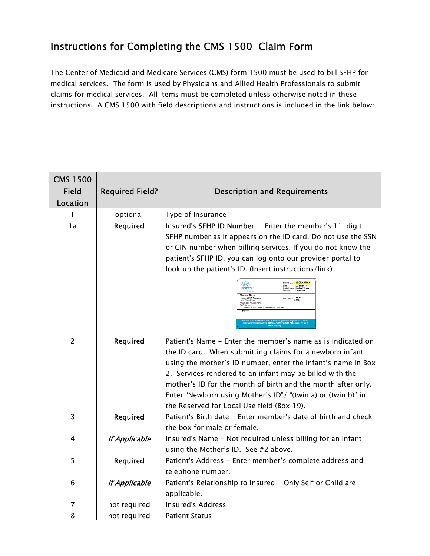## Instructions for Completing the CMS 1500 Claim Form

The Center of Medicaid and Medicare Services (CMS) form 1500 must be used to bill SFHP for medical services. The form is used by Physicians and Allied Health Professionals to submit claims for medical services. All items must be completed unless otherwise noted in these instructions. A CMS 1500 with field descriptions and instructions is included in the link below:

| <b>CMS 1500</b><br><b>Field</b><br>Location | <b>Required Field?</b> | <b>Description and Requirements</b>                                                                                                                                                                                                                                                                                                                                                                                                                                                                                                                                                                                                                             |
|---------------------------------------------|------------------------|-----------------------------------------------------------------------------------------------------------------------------------------------------------------------------------------------------------------------------------------------------------------------------------------------------------------------------------------------------------------------------------------------------------------------------------------------------------------------------------------------------------------------------------------------------------------------------------------------------------------------------------------------------------------|
| 1                                           | optional               | Type of Insurance                                                                                                                                                                                                                                                                                                                                                                                                                                                                                                                                                                                                                                               |
| 1a                                          | Required               | Insured's <b>SFHP ID Number</b> - Enter the member's 11-digit<br>SFHP number as it appears on the ID card. Do not use the SSN<br>or CIN number when billing services. If you do not know the<br>patient's SFHP ID, you can log onto our provider portal to<br>look up the patient's ID. (Insert instructions/link)<br>DOB: DD-Milenover .<br>Medical Group: Medical Group<br>Tennusce: Language<br>PCP Phone #: XXX-XXX-<br>Program: SFHP Program<br>Clinis: Clinic Name<br>Primary Care Provider (PCP):<br>PCP Name<br>se<br>xx: PCP Address, San Francisco Zip Ci<br>y.  It does not guarantee eligibility for ser<br>[415] 547-7810 or (800) 288-5555 or log |
| $\overline{2}$                              | Required               | Patient's Name - Enter the member's name as is indicated on<br>the ID card. When submitting claims for a newborn infant<br>using the mother's ID number, enter the infant's name in Box<br>2. Services rendered to an infant may be billed with the<br>mother's ID for the month of birth and the month after only.<br>Enter "Newborn using Mother's ID"/ "(twin a) or (twin b)" in<br>the Reserved for Local Use field (Box 19).                                                                                                                                                                                                                               |
| 3                                           | Required               | Patient's Birth date - Enter member's date of birth and check<br>the box for male or female.                                                                                                                                                                                                                                                                                                                                                                                                                                                                                                                                                                    |
| 4                                           | <b>If Applicable</b>   | Insured's Name - Not required unless billing for an infant<br>using the Mother's ID. See #2 above.                                                                                                                                                                                                                                                                                                                                                                                                                                                                                                                                                              |
| 5                                           | Required               | Patient's Address - Enter member's complete address and<br>telephone number.                                                                                                                                                                                                                                                                                                                                                                                                                                                                                                                                                                                    |
| 6                                           | <b>If Applicable</b>   | Patient's Relationship to Insured - Only Self or Child are<br>applicable.                                                                                                                                                                                                                                                                                                                                                                                                                                                                                                                                                                                       |
| 7                                           | not required           | <b>Insured's Address</b>                                                                                                                                                                                                                                                                                                                                                                                                                                                                                                                                                                                                                                        |
| 8                                           | not required           | <b>Patient Status</b>                                                                                                                                                                                                                                                                                                                                                                                                                                                                                                                                                                                                                                           |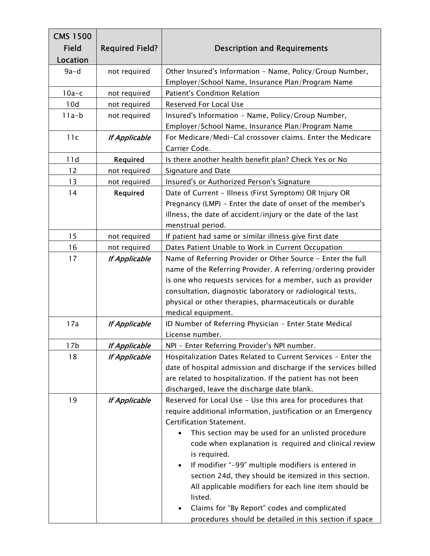| <b>CMS 1500</b> |                        |                                                                                                                                                                                                                                                                                                        |
|-----------------|------------------------|--------------------------------------------------------------------------------------------------------------------------------------------------------------------------------------------------------------------------------------------------------------------------------------------------------|
| <b>Field</b>    | <b>Required Field?</b> | <b>Description and Requirements</b>                                                                                                                                                                                                                                                                    |
| Location        |                        |                                                                                                                                                                                                                                                                                                        |
| $9a-d$          | not required           | Other Insured's Information - Name, Policy/Group Number,                                                                                                                                                                                                                                               |
|                 |                        | Employer/School Name, Insurance Plan/Program Name                                                                                                                                                                                                                                                      |
| $10a-c$         | not required           | Patient's Condition Relation                                                                                                                                                                                                                                                                           |
| 10d             | not required           | <b>Reserved For Local Use</b>                                                                                                                                                                                                                                                                          |
| $11a-b$         | not required           | Insured's Information - Name, Policy/Group Number,                                                                                                                                                                                                                                                     |
|                 |                        | Employer/School Name, Insurance Plan/Program Name                                                                                                                                                                                                                                                      |
| 11c             | <b>If Applicable</b>   | For Medicare/Medi-Cal crossover claims. Enter the Medicare                                                                                                                                                                                                                                             |
|                 |                        | Carrier Code.                                                                                                                                                                                                                                                                                          |
| 11d             | Required               | Is there another health benefit plan? Check Yes or No                                                                                                                                                                                                                                                  |
| 12              | not required           | Signature and Date                                                                                                                                                                                                                                                                                     |
| 13              | not required           | Insured's or Authorized Person's Signature                                                                                                                                                                                                                                                             |
| 14              | Required               | Date of Current - Illness (First Symptom) OR Injury OR                                                                                                                                                                                                                                                 |
|                 |                        | Pregnancy (LMP) - Enter the date of onset of the member's                                                                                                                                                                                                                                              |
|                 |                        | illness, the date of accident/injury or the date of the last                                                                                                                                                                                                                                           |
|                 |                        | menstrual period.                                                                                                                                                                                                                                                                                      |
| 15              | not required           | If patient had same or similar illness give first date                                                                                                                                                                                                                                                 |
| 16              | not required           | Dates Patient Unable to Work in Current Occupation                                                                                                                                                                                                                                                     |
| 17              | <b>If Applicable</b>   | Name of Referring Provider or Other Source - Enter the full                                                                                                                                                                                                                                            |
|                 |                        | name of the Referring Provider. A referring/ordering provider                                                                                                                                                                                                                                          |
|                 |                        | is one who requests services for a member, such as provider                                                                                                                                                                                                                                            |
|                 |                        | consultation, diagnostic laboratory or radiological tests,                                                                                                                                                                                                                                             |
|                 |                        | physical or other therapies, pharmaceuticals or durable                                                                                                                                                                                                                                                |
|                 |                        | medical equipment.                                                                                                                                                                                                                                                                                     |
| 17a             | <b>If Applicable</b>   | ID Number of Referring Physician - Enter State Medical                                                                                                                                                                                                                                                 |
|                 |                        | License number.                                                                                                                                                                                                                                                                                        |
| 17b             | <b>If Applicable</b>   | NPI - Enter Referring Provider's NPI number.                                                                                                                                                                                                                                                           |
| 18              | <b>If Applicable</b>   | Hospitalization Dates Related to Current Services - Enter the                                                                                                                                                                                                                                          |
|                 |                        | date of hospital admission and discharge if the services billed                                                                                                                                                                                                                                        |
|                 |                        | are related to hospitalization. If the patient has not been                                                                                                                                                                                                                                            |
|                 |                        | discharged, leave the discharge date blank.                                                                                                                                                                                                                                                            |
| 19              | <b>If Applicable</b>   | Reserved for Local Use - Use this area for procedures that                                                                                                                                                                                                                                             |
|                 |                        | require additional information, justification or an Emergency                                                                                                                                                                                                                                          |
|                 |                        | Certification Statement.                                                                                                                                                                                                                                                                               |
|                 |                        | This section may be used for an unlisted procedure                                                                                                                                                                                                                                                     |
|                 |                        | code when explanation is required and clinical review                                                                                                                                                                                                                                                  |
|                 |                        | is required.                                                                                                                                                                                                                                                                                           |
|                 |                        |                                                                                                                                                                                                                                                                                                        |
|                 |                        |                                                                                                                                                                                                                                                                                                        |
|                 |                        |                                                                                                                                                                                                                                                                                                        |
|                 |                        |                                                                                                                                                                                                                                                                                                        |
|                 |                        |                                                                                                                                                                                                                                                                                                        |
|                 |                        | If modifier "-99" multiple modifiers is entered in<br>$\bullet$<br>section 24d, they should be itemized in this section.<br>All applicable modifiers for each line item should be<br>listed.<br>Claims for "By Report" codes and complicated<br>procedures should be detailed in this section if space |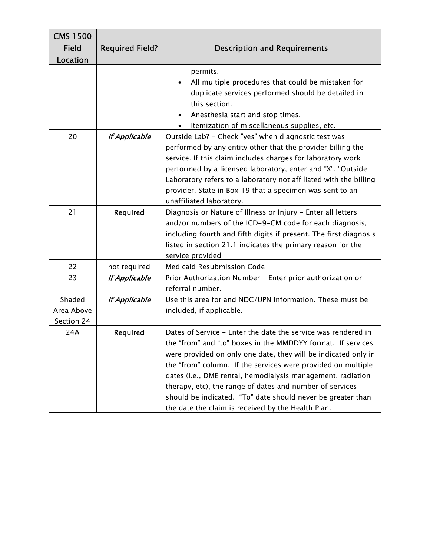| <b>CMS 1500</b><br><b>Field</b><br>Location | <b>Required Field?</b> | <b>Description and Requirements</b>                                                                                                                                                                                                                                                                                                                                                                                                                                                                            |
|---------------------------------------------|------------------------|----------------------------------------------------------------------------------------------------------------------------------------------------------------------------------------------------------------------------------------------------------------------------------------------------------------------------------------------------------------------------------------------------------------------------------------------------------------------------------------------------------------|
|                                             |                        | permits.<br>All multiple procedures that could be mistaken for<br>duplicate services performed should be detailed in<br>this section.<br>Anesthesia start and stop times.<br>$\bullet$<br>Itemization of miscellaneous supplies, etc.                                                                                                                                                                                                                                                                          |
| 20                                          | <b>If Applicable</b>   | Outside Lab? - Check "yes" when diagnostic test was<br>performed by any entity other that the provider billing the<br>service. If this claim includes charges for laboratory work<br>performed by a licensed laboratory, enter and "X". "Outside<br>Laboratory refers to a laboratory not affiliated with the billing<br>provider. State in Box 19 that a specimen was sent to an<br>unaffiliated laboratory.                                                                                                  |
| 21                                          | Required               | Diagnosis or Nature of Illness or Injury - Enter all letters<br>and/or numbers of the ICD-9-CM code for each diagnosis,<br>including fourth and fifth digits if present. The first diagnosis<br>listed in section 21.1 indicates the primary reason for the<br>service provided                                                                                                                                                                                                                                |
| 22                                          | not required           | <b>Medicaid Resubmission Code</b>                                                                                                                                                                                                                                                                                                                                                                                                                                                                              |
| 23                                          | <b>If Applicable</b>   | Prior Authorization Number - Enter prior authorization or<br>referral number.                                                                                                                                                                                                                                                                                                                                                                                                                                  |
| Shaded<br>Area Above<br>Section 24          | <b>If Applicable</b>   | Use this area for and NDC/UPN information. These must be<br>included, if applicable.                                                                                                                                                                                                                                                                                                                                                                                                                           |
| 24A                                         | Required               | Dates of Service - Enter the date the service was rendered in<br>the "from" and "to" boxes in the MMDDYY format. If services<br>were provided on only one date, they will be indicated only in<br>the "from" column. If the services were provided on multiple<br>dates (i.e., DME rental, hemodialysis management, radiation<br>therapy, etc), the range of dates and number of services<br>should be indicated. "To" date should never be greater than<br>the date the claim is received by the Health Plan. |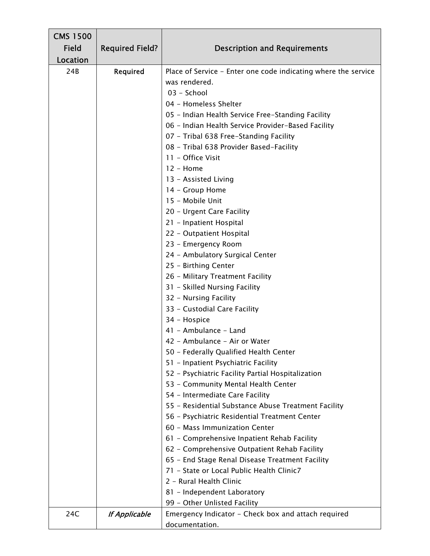| <b>CMS 1500</b> |                        |                                                                |
|-----------------|------------------------|----------------------------------------------------------------|
| <b>Field</b>    | <b>Required Field?</b> | <b>Description and Requirements</b>                            |
| Location        |                        |                                                                |
| 24B             | Required               | Place of Service - Enter one code indicating where the service |
|                 |                        | was rendered.                                                  |
|                 |                        | 03 - School                                                    |
|                 |                        | 04 - Homeless Shelter                                          |
|                 |                        | 05 - Indian Health Service Free-Standing Facility              |
|                 |                        | 06 - Indian Health Service Provider-Based Facility             |
|                 |                        | 07 - Tribal 638 Free-Standing Facility                         |
|                 |                        | 08 - Tribal 638 Provider Based-Facility                        |
|                 |                        | 11 - Office Visit                                              |
|                 |                        | $12 -$ Home                                                    |
|                 |                        | 13 - Assisted Living                                           |
|                 |                        | 14 - Group Home                                                |
|                 |                        | 15 - Mobile Unit                                               |
|                 |                        | 20 - Urgent Care Facility                                      |
|                 |                        | 21 - Inpatient Hospital                                        |
|                 |                        | 22 - Outpatient Hospital                                       |
|                 |                        | 23 - Emergency Room                                            |
|                 |                        | 24 - Ambulatory Surgical Center                                |
|                 |                        | 25 - Birthing Center                                           |
|                 |                        | 26 - Military Treatment Facility                               |
|                 |                        | 31 - Skilled Nursing Facility                                  |
|                 |                        | 32 - Nursing Facility                                          |
|                 |                        | 33 - Custodial Care Facility                                   |
|                 |                        | 34 - Hospice                                                   |
|                 |                        | 41 - Ambulance - Land                                          |
|                 |                        | 42 - Ambulance - Air or Water                                  |
|                 |                        | 50 - Federally Qualified Health Center                         |
|                 |                        | 51 - Inpatient Psychiatric Facility                            |
|                 |                        | 52 - Psychiatric Facility Partial Hospitalization              |
|                 |                        | 53 - Community Mental Health Center                            |
|                 |                        | 54 - Intermediate Care Facility                                |
|                 |                        | 55 - Residential Substance Abuse Treatment Facility            |
|                 |                        | 56 - Psychiatric Residential Treatment Center                  |
|                 |                        | 60 - Mass Immunization Center                                  |
|                 |                        | 61 - Comprehensive Inpatient Rehab Facility                    |
|                 |                        | 62 - Comprehensive Outpatient Rehab Facility                   |
|                 |                        | 65 - End Stage Renal Disease Treatment Facility                |
|                 |                        | 71 - State or Local Public Health Clinic7                      |
|                 |                        | 2 - Rural Health Clinic                                        |
|                 |                        | 81 - Independent Laboratory                                    |
|                 |                        | 99 - Other Unlisted Facility                                   |
| 24C             | <b>If Applicable</b>   | Emergency Indicator - Check box and attach required            |
|                 |                        | documentation.                                                 |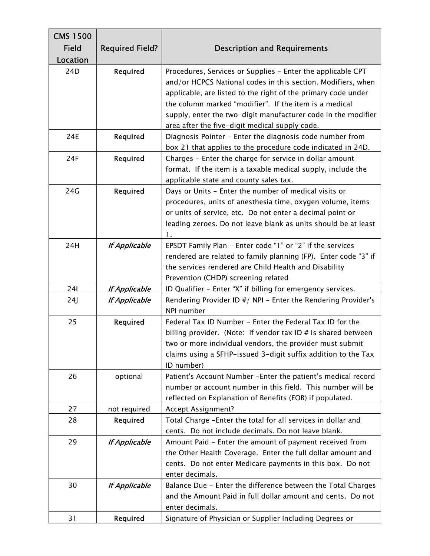| <b>CMS 1500</b> |                        |                                                                                                                                                                                                                                                                                                                                                                           |
|-----------------|------------------------|---------------------------------------------------------------------------------------------------------------------------------------------------------------------------------------------------------------------------------------------------------------------------------------------------------------------------------------------------------------------------|
| <b>Field</b>    | <b>Required Field?</b> | <b>Description and Requirements</b>                                                                                                                                                                                                                                                                                                                                       |
| Location        |                        |                                                                                                                                                                                                                                                                                                                                                                           |
| 24D             | Required               | Procedures, Services or Supplies - Enter the applicable CPT<br>and/or HCPCS National codes in this section. Modifiers, when<br>applicable, are listed to the right of the primary code under<br>the column marked "modifier". If the item is a medical<br>supply, enter the two-digit manufacturer code in the modifier<br>area after the five-digit medical supply code. |
| 24E             | Required               | Diagnosis Pointer - Enter the diagnosis code number from<br>box 21 that applies to the procedure code indicated in 24D.                                                                                                                                                                                                                                                   |
| 24F             | Required               | Charges - Enter the charge for service in dollar amount<br>format. If the item is a taxable medical supply, include the<br>applicable state and county sales tax.                                                                                                                                                                                                         |
| 24G             | Required               | Days or Units - Enter the number of medical visits or<br>procedures, units of anesthesia time, oxygen volume, items<br>or units of service, etc. Do not enter a decimal point or<br>leading zeroes. Do not leave blank as units should be at least<br>1.                                                                                                                  |
| 24H             | <b>If Applicable</b>   | EPSDT Family Plan - Enter code "1" or "2" if the services<br>rendered are related to family planning (FP). Enter code "3" if<br>the services rendered are Child Health and Disability<br>Prevention (CHDP) screening related                                                                                                                                              |
| 241             | <b>If Applicable</b>   | ID Qualifier - Enter "X" if billing for emergency services.                                                                                                                                                                                                                                                                                                               |
| 24J             | <b>If Applicable</b>   | Rendering Provider ID #/ NPI - Enter the Rendering Provider's<br>NPI number                                                                                                                                                                                                                                                                                               |
| 25              | Required               | Federal Tax ID Number - Enter the Federal Tax ID for the<br>billing provider. (Note: if vendor tax ID $#$ is shared between<br>two or more individual vendors, the provider must submit<br>claims using a SFHP-issued 3-digit suffix addition to the Tax<br>ID number)                                                                                                    |
| 26              | optional               | Patient's Account Number - Enter the patient's medical record<br>number or account number in this field. This number will be<br>reflected on Explanation of Benefits (EOB) if populated.                                                                                                                                                                                  |
| 27              | not required           | Accept Assignment?                                                                                                                                                                                                                                                                                                                                                        |
| 28              | Required               | Total Charge - Enter the total for all services in dollar and<br>cents. Do not include decimals. Do not leave blank.                                                                                                                                                                                                                                                      |
| 29              | <b>If Applicable</b>   | Amount Paid - Enter the amount of payment received from<br>the Other Health Coverage. Enter the full dollar amount and<br>cents. Do not enter Medicare payments in this box. Do not<br>enter decimals.                                                                                                                                                                    |
| 30              | <b>If Applicable</b>   | Balance Due - Enter the difference between the Total Charges<br>and the Amount Paid in full dollar amount and cents. Do not<br>enter decimals.                                                                                                                                                                                                                            |
| 31              | Required               | Signature of Physician or Supplier Including Degrees or                                                                                                                                                                                                                                                                                                                   |